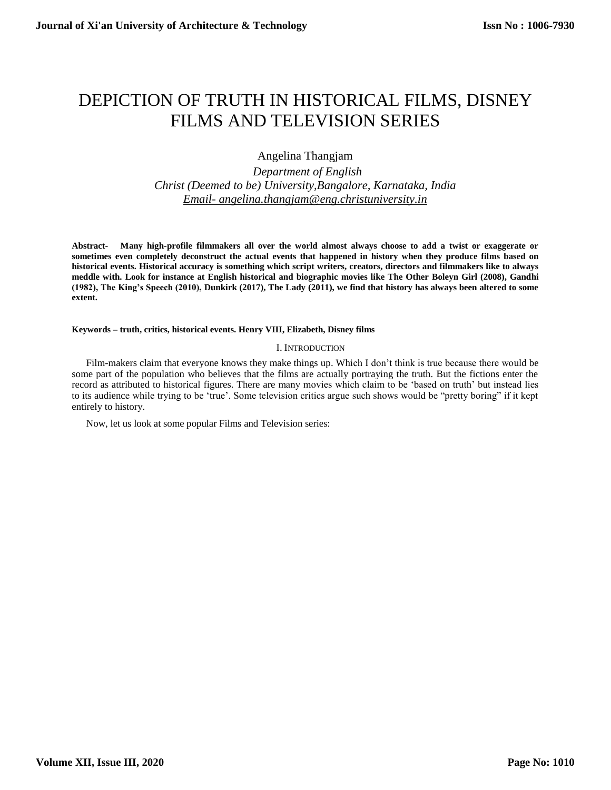# DEPICTION OF TRUTH IN HISTORICAL FILMS, DISNEY FILMS AND TELEVISION SERIES

# Angelina Thangjam

 *Department of English Christ (Deemed to be) University,Bangalore, Karnataka, India Email- [angelina.thangjam@eng.christuniversity.in](mailto:Email-%20angelina.thangjam@eng.christuniversity.in)*

**Abstract- Many high-profile filmmakers all over the world almost always choose to add a twist or exaggerate or sometimes even completely deconstruct the actual events that happened in history when they produce films based on historical events. Historical accuracy is something which script writers, creators, directors and filmmakers like to always meddle with. Look for instance at English historical and biographic movies like The Other Boleyn Girl (2008), Gandhi (1982), The King's Speech (2010), Dunkirk (2017), The Lady (2011), we find that history has always been altered to some extent.**

#### **Keywords – truth, critics, historical events. Henry VIII, Elizabeth, Disney films**

#### I. INTRODUCTION

Film-makers claim that everyone knows they make things up. Which I don't think is true because there would be some part of the population who believes that the films are actually portraying the truth. But the fictions enter the record as attributed to historical figures. There are many movies which claim to be 'based on truth' but instead lies to its audience while trying to be 'true'. Some television critics argue such shows would be "pretty boring" if it kept entirely to history.

Now, let us look at some popular Films and Television series: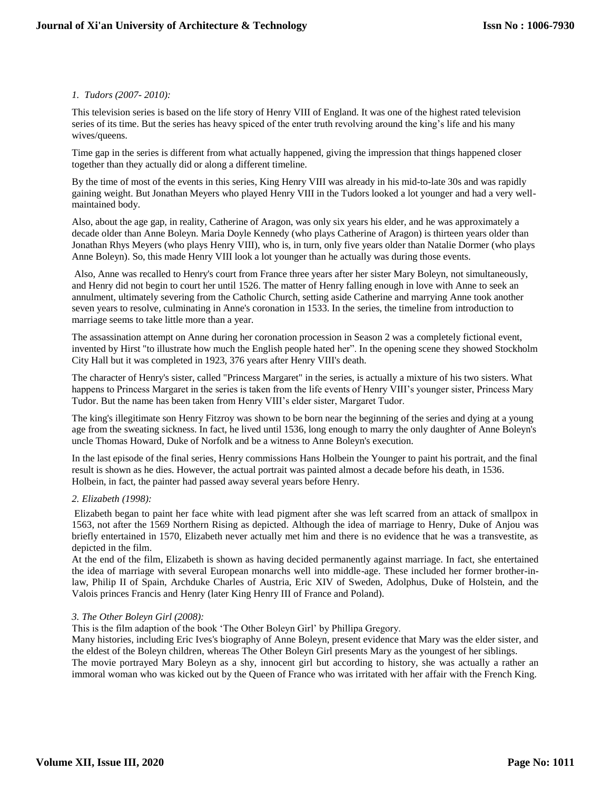### *1. Tudors (2007- 2010):*

This television series is based on the life story of Henry VIII of England. It was one of the highest rated television series of its time. But the series has heavy spiced of the enter truth revolving around the king's life and his many wives/queens.

Time gap in the series is different from what actually happened, giving the impression that things happened closer together than they actually did or along a different timeline.

By the time of most of the events in this series, King Henry VIII was already in his mid-to-late 30s and was rapidly gaining weight. But Jonathan Meyers who played Henry VIII in the Tudors looked a lot younger and had a very wellmaintained body.

Also, about the age gap, in reality, Catherine of Aragon, was only six years his elder, and he was approximately a decade older than Anne Boleyn. Maria Doyle Kennedy (who plays Catherine of Aragon) is thirteen years older than Jonathan Rhys Meyers (who plays Henry VIII), who is, in turn, only five years older than Natalie Dormer (who plays Anne Boleyn). So, this made Henry VIII look a lot younger than he actually was during those events.

Also, Anne was recalled to Henry's court from France three years after her sister Mary Boleyn, not simultaneously, and Henry did not begin to court her until 1526. The matter of Henry falling enough in love with Anne to seek an annulment, ultimately severing from the Catholic Church, setting aside Catherine and marrying Anne took another seven years to resolve, culminating in Anne's coronation in 1533. In the series, the timeline from introduction to marriage seems to take little more than a year.

The assassination attempt on Anne during her coronation procession in Season 2 was a completely fictional event, invented by Hirst "to illustrate how much the English people hated her". In the opening scene they showed Stockholm City Hall but it was completed in 1923, 376 years after Henry VIII's death.

The character of Henry's sister, called "Princess Margaret" in the series, is actually a mixture of his two sisters. What happens to Princess Margaret in the series is taken from the life events of Henry VIII's younger sister, Princess Mary Tudor. But the name has been taken from Henry VIII's elder sister, Margaret Tudor.

The king's illegitimate son Henry Fitzroy was shown to be born near the beginning of the series and dying at a young age from the sweating sickness. In fact, he lived until 1536, long enough to marry the only daughter of Anne Boleyn's uncle Thomas Howard, Duke of Norfolk and be a witness to Anne Boleyn's execution.

In the last episode of the final series, Henry commissions Hans Holbein the Younger to paint his portrait, and the final result is shown as he dies. However, the actual portrait was painted almost a decade before his death, in 1536. Holbein, in fact, the painter had passed away several years before Henry.

#### *2. Elizabeth (1998):*

Elizabeth began to paint her face white with lead pigment after she was left scarred from an attack of smallpox in 1563, not after the 1569 Northern Rising as depicted. Although the idea of marriage to Henry, Duke of Anjou was briefly entertained in 1570, Elizabeth never actually met him and there is no evidence that he was a transvestite, as depicted in the film.

At the end of the film, Elizabeth is shown as having decided permanently against marriage. In fact, she entertained the idea of marriage with several European monarchs well into middle-age. These included her former brother-inlaw, Philip II of Spain, Archduke Charles of Austria, Eric XIV of Sweden, Adolphus, Duke of Holstein, and the Valois princes Francis and Henry (later King Henry III of France and Poland).

# *3. The Other Boleyn Girl (2008):*

This is the film adaption of the book 'The Other Boleyn Girl' by Phillipa Gregory.

Many histories, including Eric Ives's biography of Anne Boleyn, present evidence that Mary was the elder sister, and the eldest of the Boleyn children, whereas The Other Boleyn Girl presents Mary as the youngest of her siblings. The movie portrayed Mary Boleyn as a shy, innocent girl but according to history, she was actually a rather an

immoral woman who was kicked out by the Queen of France who was irritated with her affair with the French King.